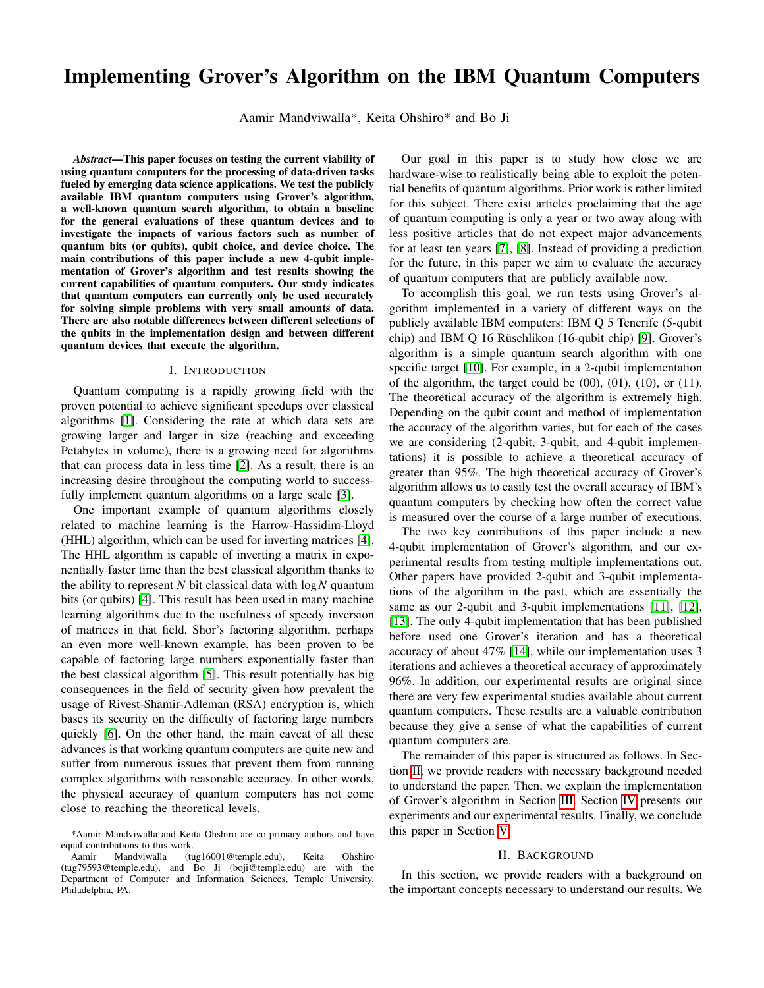# Implementing Grover's Algorithm on the IBM Quantum Computers

Aamir Mandviwalla\*, Keita Ohshiro\* and Bo Ji

*Abstract*—This paper focuses on testing the current viability of using quantum computers for the processing of data-driven tasks fueled by emerging data science applications. We test the publicly available IBM quantum computers using Grover's algorithm, a well-known quantum search algorithm, to obtain a baseline for the general evaluations of these quantum devices and to investigate the impacts of various factors such as number of quantum bits (or qubits), qubit choice, and device choice. The main contributions of this paper include a new 4-qubit implementation of Grover's algorithm and test results showing the current capabilities of quantum computers. Our study indicates that quantum computers can currently only be used accurately for solving simple problems with very small amounts of data. There are also notable differences between different selections of the qubits in the implementation design and between different quantum devices that execute the algorithm.

#### I. INTRODUCTION

Quantum computing is a rapidly growing field with the proven potential to achieve significant speedups over classical algorithms [\[1\]](#page-5-0). Considering the rate at which data sets are growing larger and larger in size (reaching and exceeding Petabytes in volume), there is a growing need for algorithms that can process data in less time [\[2\]](#page-5-1). As a result, there is an increasing desire throughout the computing world to successfully implement quantum algorithms on a large scale [\[3\]](#page-5-2).

One important example of quantum algorithms closely related to machine learning is the Harrow-Hassidim-Lloyd (HHL) algorithm, which can be used for inverting matrices [\[4\]](#page-5-3). The HHL algorithm is capable of inverting a matrix in exponentially faster time than the best classical algorithm thanks to the ability to represent *N* bit classical data with log*N* quantum bits (or qubits) [\[4\]](#page-5-3). This result has been used in many machine learning algorithms due to the usefulness of speedy inversion of matrices in that field. Shor's factoring algorithm, perhaps an even more well-known example, has been proven to be capable of factoring large numbers exponentially faster than the best classical algorithm [\[5\]](#page-5-4). This result potentially has big consequences in the field of security given how prevalent the usage of Rivest-Shamir-Adleman (RSA) encryption is, which bases its security on the difficulty of factoring large numbers quickly [\[6\]](#page-5-5). On the other hand, the main caveat of all these advances is that working quantum computers are quite new and suffer from numerous issues that prevent them from running complex algorithms with reasonable accuracy. In other words, the physical accuracy of quantum computers has not come close to reaching the theoretical levels.

Our goal in this paper is to study how close we are hardware-wise to realistically being able to exploit the potential benefits of quantum algorithms. Prior work is rather limited for this subject. There exist articles proclaiming that the age of quantum computing is only a year or two away along with less positive articles that do not expect major advancements for at least ten years [\[7\]](#page-5-6), [\[8\]](#page-5-7). Instead of providing a prediction for the future, in this paper we aim to evaluate the accuracy of quantum computers that are publicly available now.

To accomplish this goal, we run tests using Grover's algorithm implemented in a variety of different ways on the publicly available IBM computers: IBM Q 5 Tenerife (5-qubit chip) and IBM Q 16 Rüschlikon (16-qubit chip) [\[9\]](#page-5-8). Grover's algorithm is a simple quantum search algorithm with one specific target [\[10\]](#page-5-9). For example, in a 2-qubit implementation of the algorithm, the target could be  $(00)$ ,  $(01)$ ,  $(10)$ , or  $(11)$ . The theoretical accuracy of the algorithm is extremely high. Depending on the qubit count and method of implementation the accuracy of the algorithm varies, but for each of the cases we are considering (2-qubit, 3-qubit, and 4-qubit implementations) it is possible to achieve a theoretical accuracy of greater than 95%. The high theoretical accuracy of Grover's algorithm allows us to easily test the overall accuracy of IBM's quantum computers by checking how often the correct value is measured over the course of a large number of executions.

The two key contributions of this paper include a new 4-qubit implementation of Grover's algorithm, and our experimental results from testing multiple implementations out. Other papers have provided 2-qubit and 3-qubit implementations of the algorithm in the past, which are essentially the same as our 2-qubit and 3-qubit implementations [\[11\]](#page-5-10), [\[12\]](#page-5-11), [\[13\]](#page-5-12). The only 4-qubit implementation that has been published before used one Grover's iteration and has a theoretical accuracy of about 47% [\[14\]](#page-5-13), while our implementation uses 3 iterations and achieves a theoretical accuracy of approximately 96%. In addition, our experimental results are original since there are very few experimental studies available about current quantum computers. These results are a valuable contribution because they give a sense of what the capabilities of current quantum computers are.

The remainder of this paper is structured as follows. In Section [II,](#page-0-0) we provide readers with necessary background needed to understand the paper. Then, we explain the implementation of Grover's algorithm in Section [III.](#page-1-0) Section [IV](#page-2-0) presents our experiments and our experimental results. Finally, we conclude this paper in Section [V.](#page-5-14)

#### II. BACKGROUND

<span id="page-0-0"></span>In this section, we provide readers with a background on the important concepts necessary to understand our results. We

<sup>\*</sup>Aamir Mandviwalla and Keita Ohshiro are co-primary authors and have equal contributions to this work.<br>Aamir Mandviwalla (tu

 $(tug16001@temple.edu)$ , Keita Ohshiro (tug79593@temple.edu), and Bo Ji (boji@temple.edu) are with the Department of Computer and Information Sciences, Temple University, Philadelphia, PA.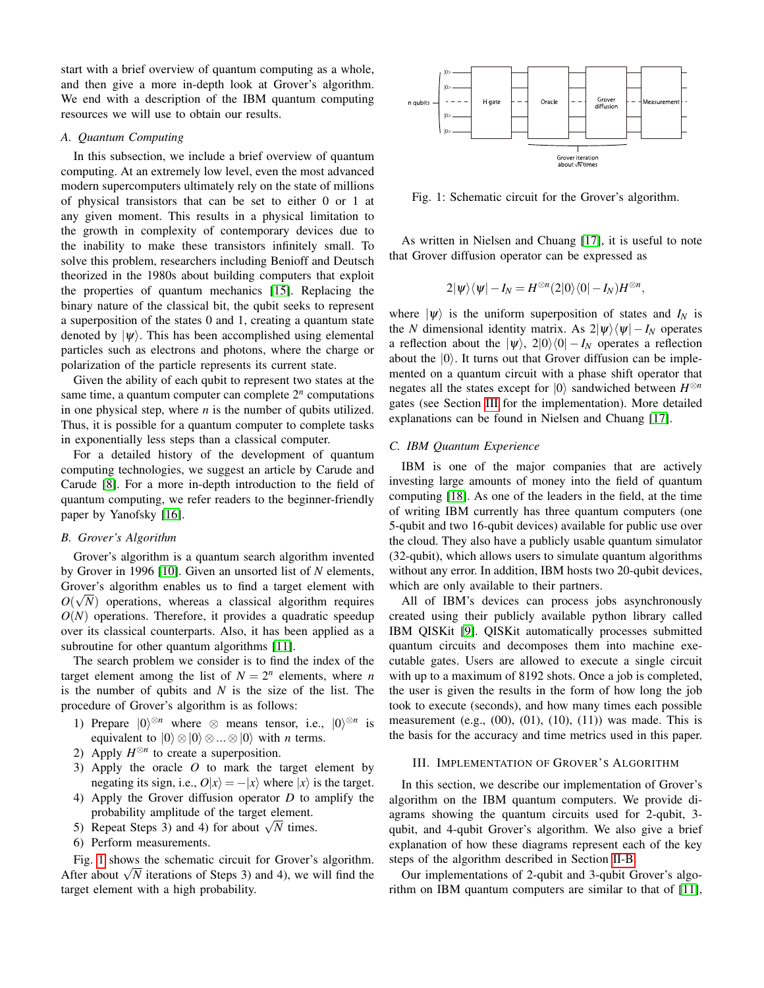start with a brief overview of quantum computing as a whole, and then give a more in-depth look at Grover's algorithm. We end with a description of the IBM quantum computing resources we will use to obtain our results.

# *A. Quantum Computing*

In this subsection, we include a brief overview of quantum computing. At an extremely low level, even the most advanced modern supercomputers ultimately rely on the state of millions of physical transistors that can be set to either 0 or 1 at any given moment. This results in a physical limitation to the growth in complexity of contemporary devices due to the inability to make these transistors infinitely small. To solve this problem, researchers including Benioff and Deutsch theorized in the 1980s about building computers that exploit the properties of quantum mechanics [\[15\]](#page-5-15). Replacing the binary nature of the classical bit, the qubit seeks to represent a superposition of the states 0 and 1, creating a quantum state denoted by  $|\psi\rangle$ . This has been accomplished using elemental particles such as electrons and photons, where the charge or polarization of the particle represents its current state.

Given the ability of each qubit to represent two states at the same time, a quantum computer can complete  $2<sup>n</sup>$  computations in one physical step, where  $n$  is the number of qubits utilized. Thus, it is possible for a quantum computer to complete tasks in exponentially less steps than a classical computer.

For a detailed history of the development of quantum computing technologies, we suggest an article by Carude and Carude [\[8\]](#page-5-7). For a more in-depth introduction to the field of quantum computing, we refer readers to the beginner-friendly paper by Yanofsky [\[16\]](#page-5-16).

## <span id="page-1-2"></span>*B. Grover's Algorithm*

Grover's algorithm is a quantum search algorithm invented by Grover in 1996 [\[10\]](#page-5-9). Given an unsorted list of *N* elements, Grover's algorithm enables us to find a target element with √  $O(\sqrt{N})$  operations, whereas a classical algorithm requires  $O(N)$  operations. Therefore, it provides a quadratic speedup over its classical counterparts. Also, it has been applied as a subroutine for other quantum algorithms [\[11\]](#page-5-10).

The search problem we consider is to find the index of the target element among the list of  $N = 2<sup>n</sup>$  elements, where *n* is the number of qubits and *N* is the size of the list. The procedure of Grover's algorithm is as follows:

- 1) Prepare  $|0\rangle^{\otimes n}$  where  $\otimes$  means tensor, i.e.,  $|0\rangle^{\otimes n}$  is equivalent to  $|0\rangle \otimes |0\rangle \otimes ... \otimes |0\rangle$  with *n* terms.
- 2) Apply  $H^{\otimes n}$  to create a superposition.
- 3) Apply the oracle *O* to mark the target element by negating its sign, i.e.,  $O|x\rangle = -|x\rangle$  where  $|x\rangle$  is the target.
- 4) Apply the Grover diffusion operator *D* to amplify the probability amplitude of the target element.
- probability amplitude of the target element.<br>5) Repeat Steps 3) and 4) for about  $\sqrt{N}$  times.
- 6) Perform measurements.

Fig. [1](#page-1-1) shows the schematic circuit for Grover's algorithm. Fig. 1 snows the schematic circuit for Grover s algorithm.<br>After about  $\sqrt{N}$  iterations of Steps 3) and 4), we will find the target element with a high probability.

<span id="page-1-1"></span>

Fig. 1: Schematic circuit for the Grover's algorithm.

As written in Nielsen and Chuang [\[17\]](#page-5-17), it is useful to note that Grover diffusion operator can be expressed as

$$
2|\psi\rangle\langle\psi|-I_N=H^{\otimes n}(2|0\rangle\langle 0|-I_N)H^{\otimes n},
$$

where  $|\psi\rangle$  is the uniform superposition of states and  $I_N$  is the *N* dimensional identity matrix. As  $2|\psi\rangle\langle\psi| - I_N$  operates a reflection about the  $|\psi\rangle$ , 2|0 $\rangle\langle0| - I_N$  operates a reflection about the  $|0\rangle$ . It turns out that Grover diffusion can be implemented on a quantum circuit with a phase shift operator that negates all the states except for  $|0\rangle$  sandwiched between  $H^{\otimes n}$ gates (see Section [III](#page-1-0) for the implementation). More detailed explanations can be found in Nielsen and Chuang [\[17\]](#page-5-17).

# *C. IBM Quantum Experience*

IBM is one of the major companies that are actively investing large amounts of money into the field of quantum computing [\[18\]](#page-5-18). As one of the leaders in the field, at the time of writing IBM currently has three quantum computers (one 5-qubit and two 16-qubit devices) available for public use over the cloud. They also have a publicly usable quantum simulator (32-qubit), which allows users to simulate quantum algorithms without any error. In addition, IBM hosts two 20-qubit devices, which are only available to their partners.

All of IBM's devices can process jobs asynchronously created using their publicly available python library called IBM QISKit [\[9\]](#page-5-8). QISKit automatically processes submitted quantum circuits and decomposes them into machine executable gates. Users are allowed to execute a single circuit with up to a maximum of 8192 shots. Once a job is completed, the user is given the results in the form of how long the job took to execute (seconds), and how many times each possible measurement (e.g.,  $(00)$ ,  $(01)$ ,  $(10)$ ,  $(11)$ ) was made. This is the basis for the accuracy and time metrics used in this paper.

#### <span id="page-1-0"></span>III. IMPLEMENTATION OF GROVER'S ALGORITHM

In this section, we describe our implementation of Grover's algorithm on the IBM quantum computers. We provide diagrams showing the quantum circuits used for 2-qubit, 3 qubit, and 4-qubit Grover's algorithm. We also give a brief explanation of how these diagrams represent each of the key steps of the algorithm described in Section [II-B.](#page-1-2)

Our implementations of 2-qubit and 3-qubit Grover's algorithm on IBM quantum computers are similar to that of [\[11\]](#page-5-10),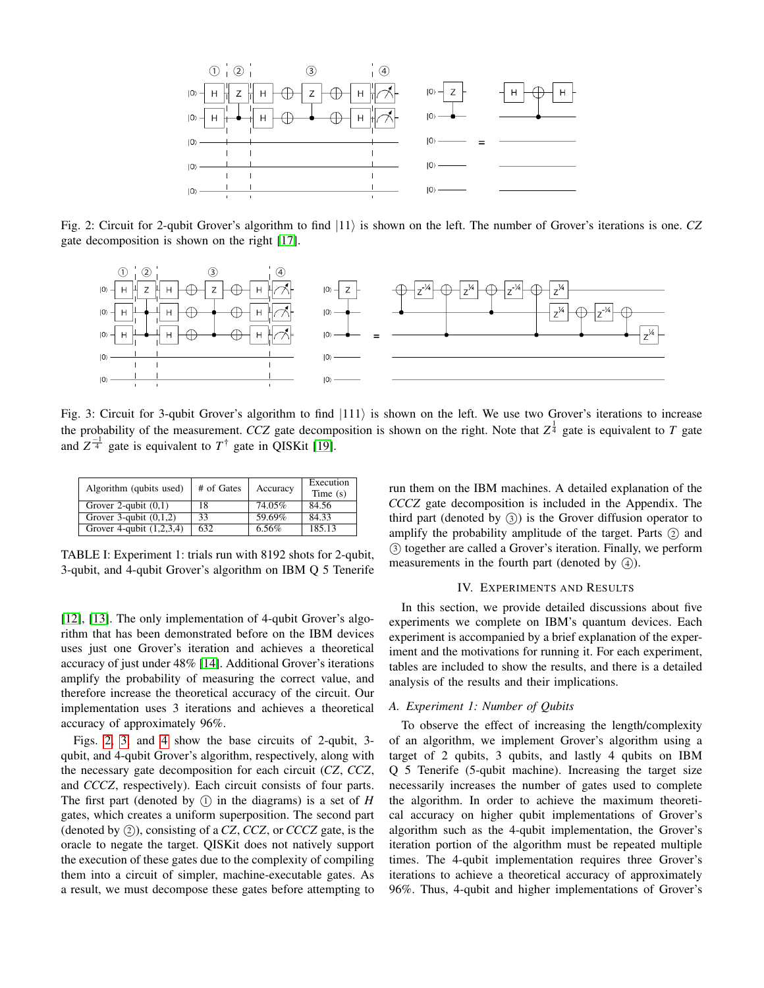<span id="page-2-1"></span>

Fig. 2: Circuit for 2-qubit Grover's algorithm to find  $|11\rangle$  is shown on the left. The number of Grover's iterations is one. *CZ* gate decomposition is shown on the right [\[17\]](#page-5-17).

<span id="page-2-2"></span>

Fig. 3: Circuit for 3-qubit Grover's algorithm to find  $|111\rangle$  is shown on the left. We use two Grover's iterations to increase the probability of the measurement. *CCZ* gate decomposition is shown on the right. Note that  $Z^{\frac{1}{4}}$  gate is equivalent to *T* gate and  $Z^{-1}$  gate is equivalent to  $T^{\dagger}$  gate in QISKit [\[19\]](#page-5-19).

<span id="page-2-3"></span>

| Algorithm (qubits used)    | # of Gates | Accuracy | Execution  |
|----------------------------|------------|----------|------------|
|                            |            |          | Time $(s)$ |
| Grover 2-qubit $(0,1)$     | 18         | 74.05%   | 84.56      |
| Grover 3-qubit $(0,1,2)$   | 33         | 59.69%   | 84.33      |
| Grover 4-qubit $(1,2,3,4)$ | 632        | 6.56%    | 185.13     |
|                            |            |          |            |

TABLE I: Experiment 1: trials run with 8192 shots for 2-qubit, 3-qubit, and 4-qubit Grover's algorithm on IBM Q 5 Tenerife

[\[12\]](#page-5-11), [\[13\]](#page-5-12). The only implementation of 4-qubit Grover's algorithm that has been demonstrated before on the IBM devices uses just one Grover's iteration and achieves a theoretical accuracy of just under 48% [\[14\]](#page-5-13). Additional Grover's iterations amplify the probability of measuring the correct value, and therefore increase the theoretical accuracy of the circuit. Our implementation uses 3 iterations and achieves a theoretical accuracy of approximately 96%.

Figs. [2,](#page-2-1) [3,](#page-2-2) and [4](#page-3-0) show the base circuits of 2-qubit, 3 qubit, and 4-qubit Grover's algorithm, respectively, along with the necessary gate decomposition for each circuit (*CZ*, *CCZ*, and *CCCZ*, respectively). Each circuit consists of four parts. The first part (denoted by  $(1)$  in the diagrams) is a set of *H* gates, which creates a uniform superposition. The second part (denoted by  $(2)$ ), consisting of a *CZ*, *CCZ*, or *CCCZ* gate, is the oracle to negate the target. QISKit does not natively support the execution of these gates due to the complexity of compiling them into a circuit of simpler, machine-executable gates. As a result, we must decompose these gates before attempting to run them on the IBM machines. A detailed explanation of the *CCCZ* gate decomposition is included in the Appendix. The third part (denoted by  $(3)$ ) is the Grover diffusion operator to amplify the probability amplitude of the target. Parts  $(2)$  and <sup>3</sup> together are called a Grover's iteration. Finally, we perform measurements in the fourth part (denoted by  $(4)$ ).

#### IV. EXPERIMENTS AND RESULTS

<span id="page-2-0"></span>In this section, we provide detailed discussions about five experiments we complete on IBM's quantum devices. Each experiment is accompanied by a brief explanation of the experiment and the motivations for running it. For each experiment, tables are included to show the results, and there is a detailed analysis of the results and their implications.

## *A. Experiment 1: Number of Qubits*

To observe the effect of increasing the length/complexity of an algorithm, we implement Grover's algorithm using a target of 2 qubits, 3 qubits, and lastly 4 qubits on IBM Q 5 Tenerife (5-qubit machine). Increasing the target size necessarily increases the number of gates used to complete the algorithm. In order to achieve the maximum theoretical accuracy on higher qubit implementations of Grover's algorithm such as the 4-qubit implementation, the Grover's iteration portion of the algorithm must be repeated multiple times. The 4-qubit implementation requires three Grover's iterations to achieve a theoretical accuracy of approximately 96%. Thus, 4-qubit and higher implementations of Grover's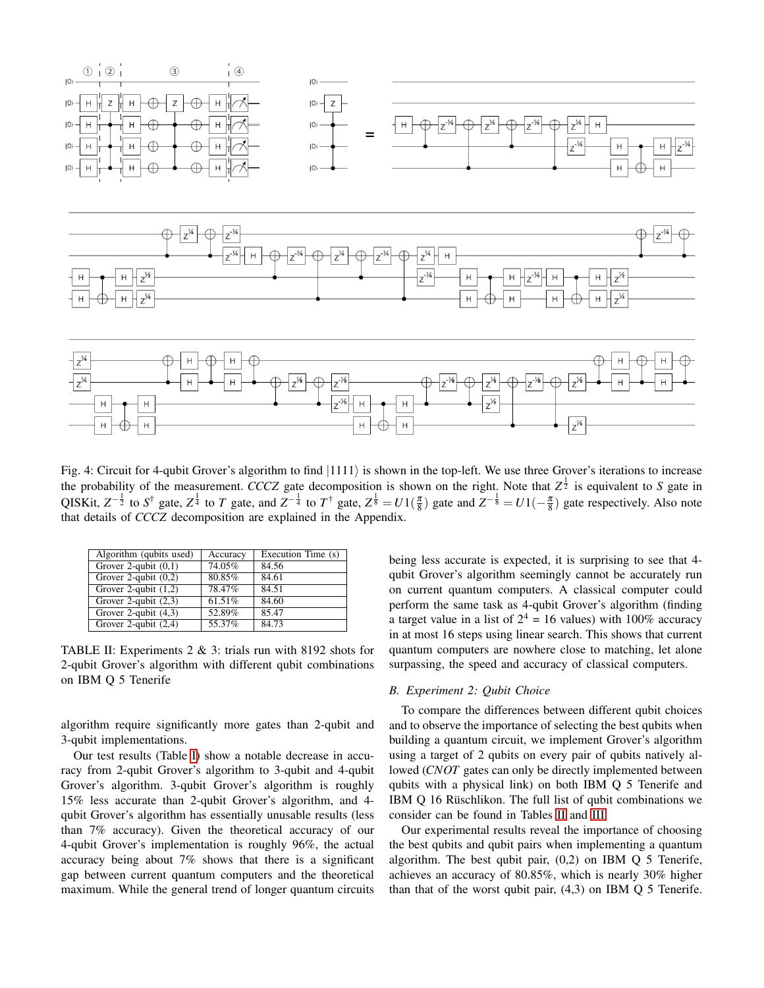<span id="page-3-0"></span>

Fig. 4: Circuit for 4-qubit Grover's algorithm to find  $|1111\rangle$  is shown in the top-left. We use three Grover's iterations to increase the probability of the measurement. *CCCZ* gate decomposition is shown on the right. Note that  $Z^{\frac{1}{2}}$  is equivalent to *S* gate in QISKit,  $Z^{-\frac{1}{2}}$  to  $S^{\dagger}$  gate,  $Z^{\frac{1}{4}}$  to  $T$  gate, and  $Z^{-\frac{1}{4}}$  to  $T^{\dagger}$  gate,  $Z^{\frac{1}{8}} = U1(\frac{\pi}{8})$  gate and  $Z^{-\frac{1}{8}} = U1(-\frac{\pi}{8})$  gate respectively. Also note that details of *CCCZ* decomposition are explained in the Appendix.

<span id="page-3-1"></span>

| Algorithm (qubits used) | Accuracy | Execution Time (s) |
|-------------------------|----------|--------------------|
| Grover 2-qubit $(0,1)$  | 74.05%   | 84.56              |
| Grover 2-qubit $(0,2)$  | 80.85%   | 84.61              |
| Grover 2-qubit $(1,2)$  | 78.47%   | 84.51              |
| Grover 2-qubit $(2,3)$  | 61.51%   | 84.60              |
| Grover 2-qubit $(4,3)$  | 52.89%   | 85.47              |
| Grover 2-qubit $(2,4)$  | 55.37%   | 84.73              |

TABLE II: Experiments  $2 \& 3$ : trials run with 8192 shots for 2-qubit Grover's algorithm with different qubit combinations on IBM Q 5 Tenerife

algorithm require significantly more gates than 2-qubit and 3-qubit implementations.

Our test results (Table [I\)](#page-2-3) show a notable decrease in accuracy from 2-qubit Grover's algorithm to 3-qubit and 4-qubit Grover's algorithm. 3-qubit Grover's algorithm is roughly 15% less accurate than 2-qubit Grover's algorithm, and 4 qubit Grover's algorithm has essentially unusable results (less than 7% accuracy). Given the theoretical accuracy of our 4-qubit Grover's implementation is roughly 96%, the actual accuracy being about 7% shows that there is a significant gap between current quantum computers and the theoretical maximum. While the general trend of longer quantum circuits being less accurate is expected, it is surprising to see that 4 qubit Grover's algorithm seemingly cannot be accurately run on current quantum computers. A classical computer could perform the same task as 4-qubit Grover's algorithm (finding a target value in a list of  $2^4 = 16$  values) with 100% accuracy in at most 16 steps using linear search. This shows that current quantum computers are nowhere close to matching, let alone surpassing, the speed and accuracy of classical computers.

#### *B. Experiment 2: Qubit Choice*

To compare the differences between different qubit choices and to observe the importance of selecting the best qubits when building a quantum circuit, we implement Grover's algorithm using a target of 2 qubits on every pair of qubits natively allowed (*CNOT* gates can only be directly implemented between qubits with a physical link) on both IBM Q 5 Tenerife and IBM Q 16 Rüschlikon. The full list of qubit combinations we consider can be found in Tables [II](#page-3-1) and [III.](#page-4-0)

Our experimental results reveal the importance of choosing the best qubits and qubit pairs when implementing a quantum algorithm. The best qubit pair,  $(0,2)$  on IBM  $\overline{O}$  5 Tenerife, achieves an accuracy of 80.85%, which is nearly 30% higher than that of the worst qubit pair, (4,3) on IBM Q 5 Tenerife.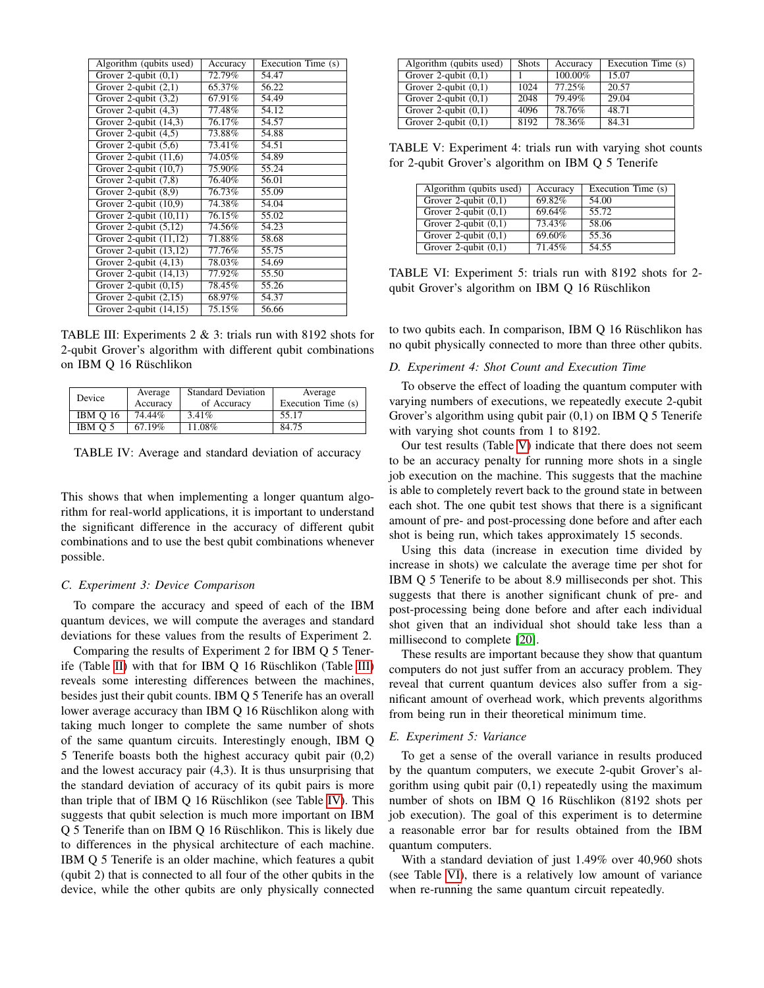<span id="page-4-0"></span>

| Algorithm (qubits used)             | Accuracy | Execution Time (s) |
|-------------------------------------|----------|--------------------|
| Grover 2-qubit $(0,1)$              | 72.79%   | 54.47              |
| Grover 2-qubit $(2,1)$              | 65.37%   | 56.22              |
| Grover 2-qubit $(3,2)$              | 67.91%   | 54.49              |
| Grover 2-qubit $(4,3)$              | 77.48%   | 54.12              |
| Grover 2-qubit $(14,3)$             | 76.17%   | 54.57              |
| Grover 2-qubit $(4,5)$              | 73.88%   | 54.88              |
| Grover 2-qubit $(5,6)$              | 73.41%   | 54.51              |
| Grover 2-qubit $(11,6)$             | 74.05%   | 54.89              |
| Grover 2-qubit $(10,7)$             | 75.90%   | 55.24              |
| Grover 2-qubit $(7,8)$              | 76.40%   | 56.01              |
| Grover 2-qubit $\overline{(8,9)}$   | 76.73%   | 55.09              |
| Grover 2-qubit $(10,9)$             | 74.38%   | 54.04              |
| Grover 2-qubit $(10,11)$            | 76.15%   | 55.02              |
| Grover 2-qubit $(5,12)$             | 74.56%   | 54.23              |
| Grover 2-qubit $(11,12)$            | 71.88%   | 58.68              |
| Grover 2-qubit $(13,12)$            | 77.76%   | 55.75              |
| Grover 2-qubit $(4,13)$             | 78.03%   | 54.69              |
| Grover 2-qubit $(\overline{14,13})$ | 77.92%   | 55.50              |
| Grover 2-qubit $(0,15)$             | 78.45%   | 55.26              |
| Grover 2-qubit (2,15)               | 68.97%   | 54.37              |
| Grover 2-qubit $(14,15)$            | 75.15%   | 56.66              |

TABLE III: Experiments 2 & 3: trials run with 8192 shots for 2-qubit Grover's algorithm with different qubit combinations on IBM Q 16 Rüschlikon

<span id="page-4-1"></span>

|                 | Average  | <b>Standard Deviation</b> | Average            |
|-----------------|----------|---------------------------|--------------------|
| Device          | Accuracy | of Accuracy               | Execution Time (s) |
| <b>IBM O 16</b> | 74.44%   | 3.41%                     | 55.17              |
| IBM O 5         | 67.19%   | 11.08%                    | 84.75              |

TABLE IV: Average and standard deviation of accuracy

This shows that when implementing a longer quantum algorithm for real-world applications, it is important to understand the significant difference in the accuracy of different qubit combinations and to use the best qubit combinations whenever possible.

## *C. Experiment 3: Device Comparison*

To compare the accuracy and speed of each of the IBM quantum devices, we will compute the averages and standard deviations for these values from the results of Experiment 2.

Comparing the results of Experiment 2 for IBM Q 5 Tener-ife (Table [II\)](#page-3-1) with that for IBM  $Q$  16 Rüschlikon (Table [III\)](#page-4-0) reveals some interesting differences between the machines, besides just their qubit counts. IBM Q 5 Tenerife has an overall lower average accuracy than IBM  $Q$  16 Rüschlikon along with taking much longer to complete the same number of shots of the same quantum circuits. Interestingly enough, IBM Q 5 Tenerife boasts both the highest accuracy qubit pair (0,2) and the lowest accuracy pair (4,3). It is thus unsurprising that the standard deviation of accuracy of its qubit pairs is more than triple that of IBM  $Q$  16 Rüschlikon (see Table [IV\)](#page-4-1). This suggests that qubit selection is much more important on IBM Q 5 Tenerife than on IBM Q 16 Rüschlikon. This is likely due to differences in the physical architecture of each machine. IBM Q 5 Tenerife is an older machine, which features a qubit (qubit 2) that is connected to all four of the other qubits in the device, while the other qubits are only physically connected

<span id="page-4-2"></span>

| Algorithm (qubits used)           | <b>Shots</b> | Accuracy  | Execution Time (s) |
|-----------------------------------|--------------|-----------|--------------------|
| Grover 2-qubit $(0,1)$            |              | 100.00%   | 15.07              |
| Grover 2-qubit $\overline{(0,1)}$ | 1024         | $77.25\%$ | 20.57              |
| Grover 2-qubit $\overline{(0,1)}$ | 2048         | 79.49%    | 29.04              |
| Grover 2-qubit $\overline{(0,1)}$ | 4096         | 78.76%    | 48.71              |
| Grover 2-qubit $\overline{(0,1)}$ | 8192         | 78.36%    | 84.31              |

TABLE V: Experiment 4: trials run with varying shot counts for 2-qubit Grover's algorithm on IBM Q 5 Tenerife

<span id="page-4-3"></span>

| Algorithm (qubits used) | Accuracy  | Execution Time (s) |
|-------------------------|-----------|--------------------|
| Grover 2-qubit $(0,1)$  | 69.82%    | 54.00              |
| Grover 2-qubit $(0,1)$  | 69.64%    | 55.72              |
| Grover 2-qubit $(0,1)$  | $73.43\%$ | 58.06              |
| Grover 2-qubit $(0,1)$  | 69.60%    | 55.36              |
| Grover 2-qubit $(0,1)$  | 71.45%    | 54.55              |

TABLE VI: Experiment 5: trials run with 8192 shots for 2 qubit Grover's algorithm on IBM Q 16 Rüschlikon

to two qubits each. In comparison, IBM  $Q$  16 Rüschlikon has no qubit physically connected to more than three other qubits.

#### *D. Experiment 4: Shot Count and Execution Time*

To observe the effect of loading the quantum computer with varying numbers of executions, we repeatedly execute 2-qubit Grover's algorithm using qubit pair  $(0,1)$  on IBM Q 5 Tenerife with varying shot counts from 1 to 8192.

Our test results (Table [V\)](#page-4-2) indicate that there does not seem to be an accuracy penalty for running more shots in a single job execution on the machine. This suggests that the machine is able to completely revert back to the ground state in between each shot. The one qubit test shows that there is a significant amount of pre- and post-processing done before and after each shot is being run, which takes approximately 15 seconds.

Using this data (increase in execution time divided by increase in shots) we calculate the average time per shot for IBM Q 5 Tenerife to be about 8.9 milliseconds per shot. This suggests that there is another significant chunk of pre- and post-processing being done before and after each individual shot given that an individual shot should take less than a millisecond to complete [\[20\]](#page-5-20).

These results are important because they show that quantum computers do not just suffer from an accuracy problem. They reveal that current quantum devices also suffer from a significant amount of overhead work, which prevents algorithms from being run in their theoretical minimum time.

## *E. Experiment 5: Variance*

To get a sense of the overall variance in results produced by the quantum computers, we execute 2-qubit Grover's algorithm using qubit pair (0,1) repeatedly using the maximum number of shots on IBM Q 16 Rüschlikon (8192 shots per job execution). The goal of this experiment is to determine a reasonable error bar for results obtained from the IBM quantum computers.

With a standard deviation of just 1.49% over 40,960 shots (see Table [VI\)](#page-4-3), there is a relatively low amount of variance when re-running the same quantum circuit repeatedly.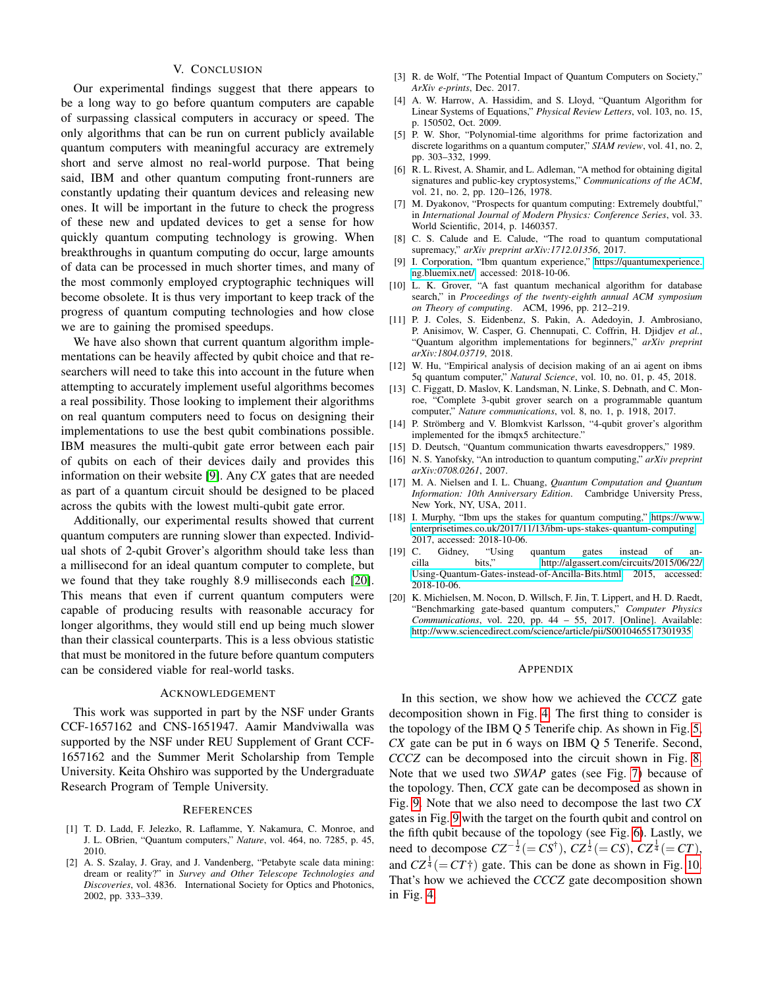## V. CONCLUSION

<span id="page-5-14"></span>Our experimental findings suggest that there appears to be a long way to go before quantum computers are capable of surpassing classical computers in accuracy or speed. The only algorithms that can be run on current publicly available quantum computers with meaningful accuracy are extremely short and serve almost no real-world purpose. That being said, IBM and other quantum computing front-runners are constantly updating their quantum devices and releasing new ones. It will be important in the future to check the progress of these new and updated devices to get a sense for how quickly quantum computing technology is growing. When breakthroughs in quantum computing do occur, large amounts of data can be processed in much shorter times, and many of the most commonly employed cryptographic techniques will become obsolete. It is thus very important to keep track of the progress of quantum computing technologies and how close we are to gaining the promised speedups.

We have also shown that current quantum algorithm implementations can be heavily affected by qubit choice and that researchers will need to take this into account in the future when attempting to accurately implement useful algorithms becomes a real possibility. Those looking to implement their algorithms on real quantum computers need to focus on designing their implementations to use the best qubit combinations possible. IBM measures the multi-qubit gate error between each pair of qubits on each of their devices daily and provides this information on their website [\[9\]](#page-5-8). Any *CX* gates that are needed as part of a quantum circuit should be designed to be placed across the qubits with the lowest multi-qubit gate error.

Additionally, our experimental results showed that current quantum computers are running slower than expected. Individual shots of 2-qubit Grover's algorithm should take less than a millisecond for an ideal quantum computer to complete, but we found that they take roughly 8.9 milliseconds each [\[20\]](#page-5-20). This means that even if current quantum computers were capable of producing results with reasonable accuracy for longer algorithms, they would still end up being much slower than their classical counterparts. This is a less obvious statistic that must be monitored in the future before quantum computers can be considered viable for real-world tasks.

#### ACKNOWLEDGEMENT

This work was supported in part by the NSF under Grants CCF-1657162 and CNS-1651947. Aamir Mandviwalla was supported by the NSF under REU Supplement of Grant CCF-1657162 and the Summer Merit Scholarship from Temple University. Keita Ohshiro was supported by the Undergraduate Research Program of Temple University.

#### **REFERENCES**

- <span id="page-5-0"></span>[1] T. D. Ladd, F. Jelezko, R. Laflamme, Y. Nakamura, C. Monroe, and J. L. OBrien, "Quantum computers," *Nature*, vol. 464, no. 7285, p. 45, 2010.
- <span id="page-5-1"></span>[2] A. S. Szalay, J. Gray, and J. Vandenberg, "Petabyte scale data mining: dream or reality?" in *Survey and Other Telescope Technologies and Discoveries*, vol. 4836. International Society for Optics and Photonics, 2002, pp. 333–339.
- <span id="page-5-2"></span>[3] R. de Wolf, "The Potential Impact of Quantum Computers on Society," *ArXiv e-prints*, Dec. 2017.
- <span id="page-5-3"></span>[4] A. W. Harrow, A. Hassidim, and S. Lloyd, "Quantum Algorithm for Linear Systems of Equations," *Physical Review Letters*, vol. 103, no. 15, p. 150502, Oct. 2009.
- <span id="page-5-4"></span>[5] P. W. Shor, "Polynomial-time algorithms for prime factorization and discrete logarithms on a quantum computer," *SIAM review*, vol. 41, no. 2, pp. 303–332, 1999.
- <span id="page-5-5"></span>[6] R. L. Rivest, A. Shamir, and L. Adleman, "A method for obtaining digital signatures and public-key cryptosystems," *Communications of the ACM*, vol. 21, no. 2, pp. 120–126, 1978.
- <span id="page-5-6"></span>[7] M. Dyakonov, "Prospects for quantum computing: Extremely doubtful," in *International Journal of Modern Physics: Conference Series*, vol. 33. World Scientific, 2014, p. 1460357.
- <span id="page-5-7"></span>[8] C. S. Calude and E. Calude, "The road to quantum computational supremacy," *arXiv preprint arXiv:1712.01356*, 2017.
- <span id="page-5-8"></span>[9] I. Corporation, "Ibm quantum experience," [https://quantumexperience.](https://quantumexperience.ng.bluemix.net/) [ng.bluemix.net/,](https://quantumexperience.ng.bluemix.net/) accessed: 2018-10-06.
- <span id="page-5-9"></span>[10] L. K. Grover, "A fast quantum mechanical algorithm for database search," in *Proceedings of the twenty-eighth annual ACM symposium on Theory of computing*. ACM, 1996, pp. 212–219.
- <span id="page-5-10"></span>[11] P. J. Coles, S. Eidenbenz, S. Pakin, A. Adedoyin, J. Ambrosiano, P. Anisimov, W. Casper, G. Chennupati, C. Coffrin, H. Djidjev *et al.*, "Quantum algorithm implementations for beginners," *arXiv preprint arXiv:1804.03719*, 2018.
- <span id="page-5-11"></span>[12] W. Hu, "Empirical analysis of decision making of an ai agent on ibms 5q quantum computer," *Natural Science*, vol. 10, no. 01, p. 45, 2018.
- <span id="page-5-12"></span>[13] C. Figgatt, D. Maslov, K. Landsman, N. Linke, S. Debnath, and C. Monroe, "Complete 3-qubit grover search on a programmable quantum computer," *Nature communications*, vol. 8, no. 1, p. 1918, 2017.
- <span id="page-5-13"></span>[14] P. Strömberg and V. Blomkvist Karlsson, "4-qubit grover's algorithm implemented for the ibmqx5 architecture."
- <span id="page-5-15"></span>[15] D. Deutsch, "Quantum communication thwarts eavesdroppers," 1989.
- <span id="page-5-16"></span>[16] N. S. Yanofsky, "An introduction to quantum computing," *arXiv preprint arXiv:0708.0261*, 2007.
- <span id="page-5-17"></span>[17] M. A. Nielsen and I. L. Chuang, *Quantum Computation and Quantum Information: 10th Anniversary Edition*. Cambridge University Press, New York, NY, USA, 2011.
- <span id="page-5-18"></span>[18] I. Murphy, "Ibm ups the stakes for quantum computing," [https://www.](https://www.enterprisetimes.co.uk/2017/11/13/ibm-ups-stakes-quantum-computing) [enterprisetimes.co.uk/2017/11/13/ibm-ups-stakes-quantum-computing,](https://www.enterprisetimes.co.uk/2017/11/13/ibm-ups-stakes-quantum-computing)
- <span id="page-5-19"></span>2017, accessed: 2018-10-06.<br>C. Gidney, "Using [19] C. Gidney, "Using quantum gates instead of ancilla bits," [http://algassert.com/circuits/2015/06/22/](http://algassert.com/circuits/2015/06/22/Using-Quantum-Gates-instead-of-Ancilla-Bits.html) [Using-Quantum-Gates-instead-of-Ancilla-Bits.html,](http://algassert.com/circuits/2015/06/22/Using-Quantum-Gates-instead-of-Ancilla-Bits.html) 2015, accessed: 2018-10-06.
- <span id="page-5-20"></span>[20] K. Michielsen, M. Nocon, D. Willsch, F. Jin, T. Lippert, and H. D. Raedt, "Benchmarking gate-based quantum computers," *Computer Physics Communications*, vol. 220, pp. 44 – 55, 2017. [Online]. Available: <http://www.sciencedirect.com/science/article/pii/S0010465517301935>

#### APPENDIX

In this section, we show how we achieved the *CCCZ* gate decomposition shown in Fig. [4.](#page-3-0) The first thing to consider is the topology of the IBM Q 5 Tenerife chip. As shown in Fig. [5,](#page-6-0) *CX* gate can be put in 6 ways on IBM Q 5 Tenerife. Second, *CCCZ* can be decomposed into the circuit shown in Fig. [8.](#page-6-1) Note that we used two *SWAP* gates (see Fig. [7\)](#page-6-0) because of the topology. Then, *CCX* gate can be decomposed as shown in Fig. [9.](#page-6-2) Note that we also need to decompose the last two *CX* gates in Fig. [9](#page-6-2) with the target on the fourth qubit and control on the fifth qubit because of the topology (see Fig. [6\)](#page-6-0). Lastly, we need to decompose  $CZ^{-\frac{1}{2}} (= CS^{\dagger}), \overline{CZ^{\frac{1}{2}}} (= CS), \overline{CZ^{\frac{1}{4}}} (= CT),$ and  $CZ^{\frac{1}{4}}(=CT\dagger)$  gate. This can be done as shown in Fig. [10.](#page-6-3) That's how we achieved the *CCCZ* gate decomposition shown in Fig. [4.](#page-3-0)